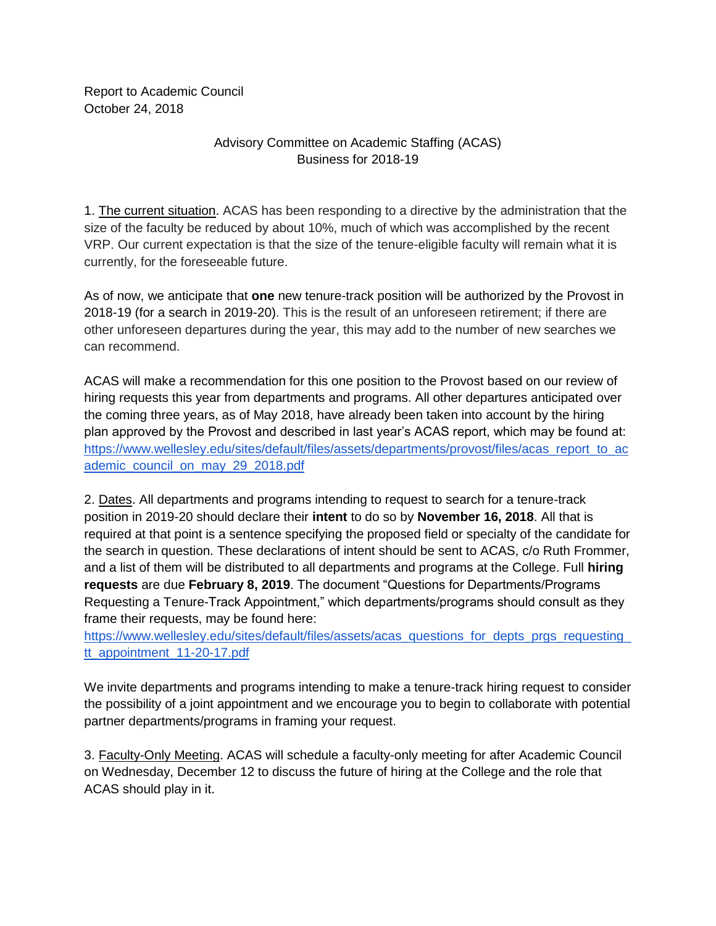Report to Academic Council October 24, 2018

## Advisory Committee on Academic Staffing (ACAS) Business for 2018-19

1. The current situation. ACAS has been responding to a directive by the administration that the size of the faculty be reduced by about 10%, much of which was accomplished by the recent VRP. Our current expectation is that the size of the tenure-eligible faculty will remain what it is currently, for the foreseeable future.

As of now, we anticipate that **one** new tenure-track position will be authorized by the Provost in 2018-19 (for a search in 2019-20). This is the result of an unforeseen retirement; if there are other unforeseen departures during the year, this may add to the number of new searches we can recommend.

ACAS will make a recommendation for this one position to the Provost based on our review of hiring requests this year from departments and programs. All other departures anticipated over the coming three years, as of May 2018, have already been taken into account by the hiring plan approved by the Provost and described in last year's ACAS report, which may be found at[:](https://www.wellesley.edu/sites/default/files/assets/departments/provost/files/acas_report_to_academic_council_on_may_29_2018.pdf) [https://www.wellesley.edu/sites/default/files/assets/departments/provost/files/acas\\_report\\_to\\_ac](https://www.wellesley.edu/sites/default/files/assets/departments/provost/files/acas_report_to_academic_council_on_may_29_2018.pdf) ademic council on may 29 2018.pdf

2. Dates. All departments and programs intending to request to search for a tenure-track position in 2019-20 should declare their **intent** to do so by **November 16, 2018**. All that is required at that point is a sentence specifying the proposed field or specialty of the candidate for the search in question. These declarations of intent should be sent to ACAS, c/o Ruth Frommer, and a list of them will be distributed to all departments and programs at the College. Full **hiring requests** are due **February 8, 2019**. The document "Questions for Departments/Programs Requesting a Tenure-Track Appointment," which departments/programs should consult as they frame their requests, may be found here[:](https://www.wellesley.edu/sites/default/files/assets/acas_questions_for_depts_prgs_requesting_tt_appointment_11-20-17.pdf)

https://www.wellesley.edu/sites/default/files/assets/acas\_questions\_for\_depts\_prgs\_requesting [tt\\_appointment\\_11-20-17.pdf](https://www.wellesley.edu/sites/default/files/assets/acas_questions_for_depts_prgs_requesting_tt_appointment_11-20-17.pdf)

We invite departments and programs intending to make a tenure-track hiring request to consider the possibility of a joint appointment and we encourage you to begin to collaborate with potential partner departments/programs in framing your request.

3. Faculty-Only Meeting. ACAS will schedule a faculty-only meeting for after Academic Council on Wednesday, December 12 to discuss the future of hiring at the College and the role that ACAS should play in it.